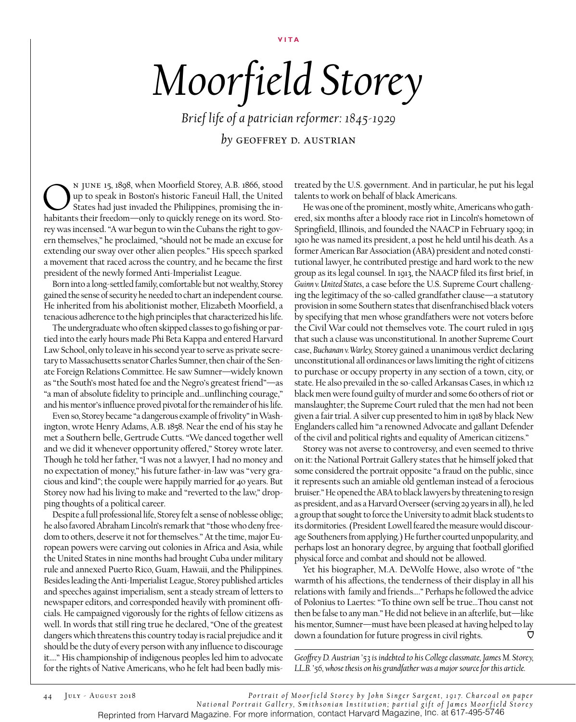**VITA**

## *Moorfield Storey*

*Brief life of a patrician reformer: 1845-1929 by* geoffrey d. Austrian

N JUNE 15, 1898, when Moorfield Storey, A.B. 1866, stood<br>up to speak in Boston's historic Faneuil Hall, the United<br>states had just invaded the Philippines, promising the in-<br>habitants their freedom—only to quickly renege o up to speak in Boston's historic Faneuil Hall, the United States had just invaded the Philippines, promising the inhabitants their freedom—only to quickly renege on its word. Storey was incensed. "A war begun to win the Cubans the right to govern themselves," he proclaimed, "should not be made an excuse for extending our sway over other alien peoples." His speech sparked a movement that raced across the country, and he became the first president of the newly formed Anti-Imperialist League.

Born into a long-settled family, comfortable but not wealthy, Storey gained the sense of security he needed to chart an independent course. He inherited from his abolitionist mother, Elizabeth Moorfield, a tenacious adherence to the high principles that characterized his life.

The undergraduate who often skipped classes to go fishing or partied into the early hours made Phi Beta Kappa and entered Harvard Law School, only to leave in his second year to serve as private secretary to Massachusetts senator Charles Sumner, then chair of the Senate Foreign Relations Committee. He saw Sumner—widely known as "the South's most hated foe and the Negro's greatest friend"—as "a man of absolute fidelity to principle and…unflinching courage," and his mentor's influence proved pivotal for the remainder of his life.

Even so, Storey became "a dangerous example of frivolity" in Washington, wrote Henry Adams, A.B. 1858. Near the end of his stay he met a Southern belle, Gertrude Cutts. "We danced together well and we did it whenever opportunity offered," Storey wrote later. Though he told her father, "I was not a lawyer, I had no money and no expectation of money," his future father-in-law was "very gracious and kind"; the couple were happily married for 40 years. But Storey now had his living to make and "reverted to the law," dropping thoughts of a political career.

Despite a full professional life, Storey felt a sense of noblesse oblige; he also favored Abraham Lincoln's remark that "those who deny freedom to others, deserve it not for themselves." At the time, major European powers were carving out colonies in Africa and Asia, while the United States in nine months had brought Cuba under military rule and annexed Puerto Rico, Guam, Hawaii, and the Philippines. Besides leading the Anti-Imperialist League, Storey published articles and speeches against imperialism, sent a steady stream of letters to newspaper editors, and corresponded heavily with prominent officials. He campaigned vigorously for the rights of fellow citizens as well. In words that still ring true he declared, "One of the greatest dangers which threatens this country today is racial prejudice and it should be the duty of every person with any influence to discourage it…." His championship of indigenous peoples led him to advocate for the rights of Native Americans, who he felt had been badly mistreated by the U.S. government. And in particular, he put his legal talents to work on behalf of black Americans.

He was one of the prominent, mostly white, Americans who gathered, six months after a bloody race riot in Lincoln's hometown of Springfield, Illinois, and founded the NAACP in February 1909; in 1910 he was named its president, a post he held until his death. As a former American Bar Association (ABA) president and noted constitutional lawyer, he contributed prestige and hard work to the new group as its legal counsel. In 1913, the NAACP filed its first brief, in *Guinn v. United States*, a case before the U.S. Supreme Court challenging the legitimacy of the so-called grandfather clause—a statutory provision in some Southern states that disenfranchised black voters by specifying that men whose grandfathers were not voters before the Civil War could not themselves vote. The court ruled in 1915 that such a clause was unconstitutional. In another Supreme Court case, *Buchanan v. Warley,* Storey gained a unanimous verdict declaring unconstitutional all ordinances or laws limiting the right of citizens to purchase or occupy property in any section of a town, city, or state. He also prevailed in the so-called Arkansas Cases, in which 12 black men were found guilty of murder and some 60 others of riot or manslaughter; the Supreme Court ruled that the men had not been given a fair trial. A silver cup presented to him in 1918 by black New Englanders called him "a renowned Advocate and gallant Defender of the civil and political rights and equality of American citizens."

Storey was not averse to controversy, and even seemed to thrive on it: the National Portrait Gallery states that he himself joked that some considered the portrait opposite "a fraud on the public, since it represents such an amiable old gentleman instead of a ferocious bruiser." He opened the ABA to black lawyers by threatening to resign as president, and as a Harvard Overseer (serving 29 years in all), he led a group that sought to force the University to admit black students to its dormitories. (President Lowell feared the measure would discourage Southeners from applying.) He further courted unpopularity, and perhaps lost an honorary degree, by arguing that football glorified physical force and combat and should not be allowed.

Yet his biographer, M.A. DeWolfe Howe, also wrote of "the warmth of his affections, the tenderness of their display in all his relations with family and friends…." Perhaps he followed the advice of Polonius to Laertes: "To thine own self be true…Thou canst not then be false to any man." He did not believe in an afterlife, but—like his mentor, Sumner—must have been pleased at having helped to lay down a foundation for future progress in civil rights. <del>Ω</del>

*Geoffrey D. Austrian '53 is indebted to his College classmate, James M. Storey, LL.B. '56, whose thesis on his grandfather was a major source for this article.*

44 July - August 2018 *Por trait of Moorf ield Store y by John Singe r Sa rge nt, 1917. Cha rcoal on pa pe r N a t i o n a l Po r t r a i t G a l l e r y, S m i t h s o n i a n I n s t i t u t i o n ; p a r t i a l g i f t o f J a m e s M o o r f i e l d S t o r e y*  Reprinted from Harvard Magazine. For more information, contact Harvard Magazine, Inc. at 617-495-5746